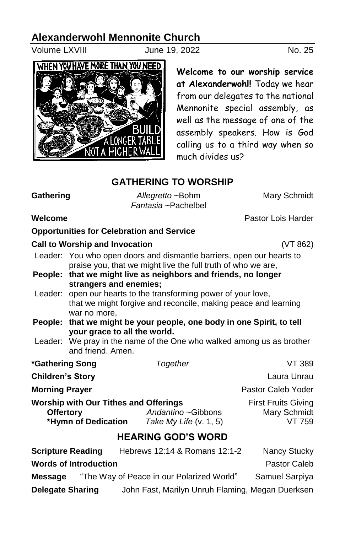## **Alexanderwohl Mennonite Church**

Volume LXVIII June 19, 2022 No. 25



**Welcome to our worship service at Alexanderwohl!** Today we hear from our delegates to the national Mennonite special assembly, as well as the message of one of the assembly speakers. How is God calling us to a third way when so much divides us?

## **GATHERING TO WORSHIP** Gathering **Allegretto** ~Bohm Mary Schmidt

*Fantasia* ~Pachelbel

| Welcome                                                                                 | Pastor Lois Harder                                                                         |  |                                                              |                                                      |  |  |
|-----------------------------------------------------------------------------------------|--------------------------------------------------------------------------------------------|--|--------------------------------------------------------------|------------------------------------------------------|--|--|
|                                                                                         |                                                                                            |  | <b>Opportunities for Celebration and Service</b>             |                                                      |  |  |
| <b>Call to Worship and Invocation</b>                                                   | (VT 862)                                                                                   |  |                                                              |                                                      |  |  |
|                                                                                         | Leader: You who open doors and dismantle barriers, open our hearts to                      |  |                                                              |                                                      |  |  |
|                                                                                         |                                                                                            |  | praise you, that we might live the full truth of who we are, |                                                      |  |  |
| People:                                                                                 | that we might live as neighbors and friends, no longer<br>strangers and enemies;           |  |                                                              |                                                      |  |  |
|                                                                                         | Leader: open our hearts to the transforming power of your love,                            |  |                                                              |                                                      |  |  |
|                                                                                         | that we might forgive and reconcile, making peace and learning                             |  |                                                              |                                                      |  |  |
| People:                                                                                 | war no more.<br>that we might be your people, one body in one Spirit, to tell              |  |                                                              |                                                      |  |  |
|                                                                                         | your grace to all the world.                                                               |  |                                                              |                                                      |  |  |
|                                                                                         | Leader: We pray in the name of the One who walked among us as brother<br>and friend. Amen. |  |                                                              |                                                      |  |  |
| *Gathering Song                                                                         |                                                                                            |  | Together                                                     | VT 389                                               |  |  |
| <b>Children's Story</b>                                                                 |                                                                                            |  |                                                              | Laura Unrau                                          |  |  |
| <b>Morning Prayer</b>                                                                   |                                                                                            |  |                                                              | Pastor Caleb Yoder                                   |  |  |
| <b>Worship with Our Tithes and Offerings</b><br><b>Offertory</b><br>*Hymn of Dedication |                                                                                            |  | Andantino ~Gibbons<br>Take My Life $(v. 1, 5)$               | <b>First Fruits Giving</b><br>Mary Schmidt<br>VT 759 |  |  |
|                                                                                         |                                                                                            |  | <b>HEARING GOD'S WORD</b>                                    |                                                      |  |  |
| <b>Scripture Reading</b> Hebrews 12:14 & Romans 12:1-2                                  |                                                                                            |  |                                                              | Nancy Stucky                                         |  |  |
|                                                                                         | Worde of Introduction                                                                      |  |                                                              | Doctor Colob                                         |  |  |

| <u>WULUS UL IIIU UUUUUUI </u> | rasivi valtiv                                    |                |
|-------------------------------|--------------------------------------------------|----------------|
| <b>Message</b>                | "The Way of Peace in our Polarized World"        | Samuel Sarpiya |
| <b>Delegate Sharing</b>       | John Fast, Marilyn Unruh Flaming, Megan Duerksen |                |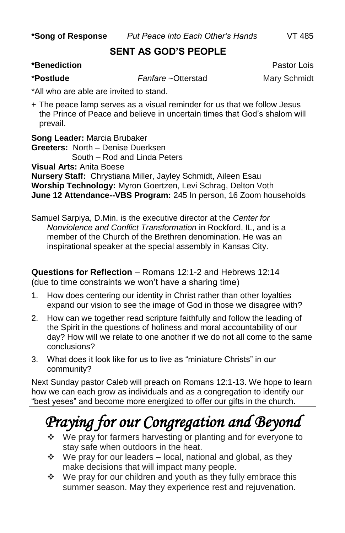**\*Song of Response** *Put Peace into Each Other's Hands* VT 485

#### **SENT AS GOD'S PEOPLE**

#### **\*Benediction** Pastor Lois

\***Postlude** *Fanfare* ~Otterstad Mary Schmidt

\*All who are able are invited to stand.

+ The peace lamp serves as a visual reminder for us that we follow Jesus the Prince of Peace and believe in uncertain times that God's shalom will prevail.

**Song Leader:** Marcia Brubaker

**Greeters:** North – Denise Duerksen South – Rod and Linda Peters

**Visual Arts:** Anita Boese

**Nursery Staff:** Chrystiana Miller, Jayley Schmidt, Aileen Esau **Worship Technology:** Myron Goertzen, Levi Schrag, Delton Voth **June 12 Attendance--VBS Program:** 245 In person, 16 Zoom households

Samuel Sarpiya, D.Min. is the executive director at the *Center for Nonviolence and Conflict Transformation* in Rockford, IL, and is a member of the Church of the Brethren denomination. He was an inspirational speaker at the special assembly in Kansas City.

**Questions for Reflection** – Romans 12:1-2 and Hebrews 12:14 (due to time constraints we won't have a sharing time)

- 1. How does centering our identity in Christ rather than other loyalties expand our vision to see the image of God in those we disagree with?
- 2. How can we together read scripture faithfully and follow the leading of the Spirit in the questions of holiness and moral accountability of our day? How will we relate to one another if we do not all come to the same conclusions?
- 3. What does it look like for us to live as "miniature Christs" in our community?

Next Sunday pastor Caleb will preach on Romans 12:1-13. We hope to learn how we can each grow as individuals and as a congregation to identify our "best yeses" and become more energized to offer our gifts in the church.

# *Praying for our Congregation and Beyond*

- ❖ We pray for farmers harvesting or planting and for everyone to stay safe when outdoors in the heat.
- $\div$  We pray for our leaders local, national and global, as they make decisions that will impact many people.
- $\div$  We pray for our children and youth as they fully embrace this summer season. May they experience rest and rejuvenation.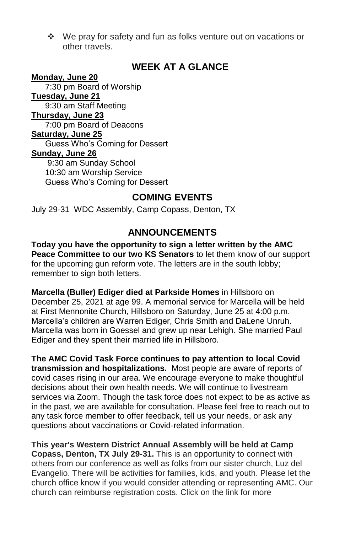We pray for safety and fun as folks venture out on vacations or other travels.

## **WEEK AT A GLANCE**

#### **Monday, June 20**

 7:30 pm Board of Worship **Tuesday, June 21** 9:30 am Staff Meeting **Thursday, June 23** 7:00 pm Board of Deacons **Saturday, June 25** Guess Who's Coming for Dessert **Sunday, June 26** 9:30 am Sunday School 10:30 am Worship Service Guess Who's Coming for Dessert

### **COMING EVENTS**

July 29-31 WDC Assembly, Camp Copass, Denton, TX

### **ANNOUNCEMENTS**

**Today you have the opportunity to sign a letter written by the AMC Peace Committee to our two KS Senators** to let them know of our support for the upcoming gun reform vote. The letters are in the south lobby; remember to sign both letters.

**Marcella (Buller) Ediger died at Parkside Homes** in Hillsboro on December 25, 2021 at age 99. A memorial service for Marcella will be held at First Mennonite Church, Hillsboro on Saturday, June 25 at 4:00 p.m. Marcella's children are Warren Ediger, Chris Smith and DaLene Unruh. Marcella was born in Goessel and grew up near Lehigh. She married Paul Ediger and they spent their married life in Hillsboro.

**The AMC Covid Task Force continues to pay attention to local Covid transmission and hospitalizations.** Most people are aware of reports of covid cases rising in our area. We encourage everyone to make thoughtful decisions about their own health needs. We will continue to livestream services via Zoom. Though the task force does not expect to be as active as in the past, we are available for consultation. Please feel free to reach out to any task force member to offer feedback, tell us your needs, or ask any questions about vaccinations or Covid-related information.

**This year's Western District Annual Assembly will be held at Camp Copass, Denton, TX July 29-31.** This is an opportunity to connect with others from our conference as well as folks from our sister church, Luz del Evangelio. There will be activities for families, kids, and youth. Please let the church office know if you would consider attending or representing AMC. Our church can reimburse registration costs. Click on the link for more